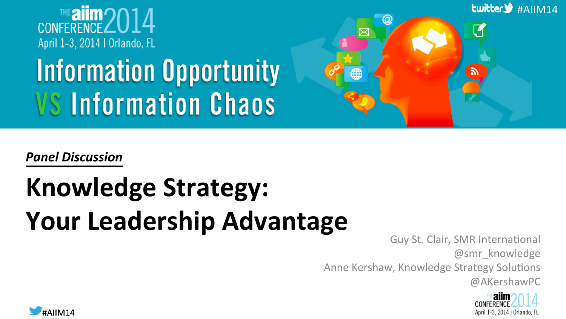

# **Information Opportunity VS Information Chaos**



*Panel Discussion*

# **Knowledge Strategy:** Your Leadership Advantage

Guy St. Clair, SMR International @smr\_knowledge Anne Kershaw, Knowledge Strategy Solutions @AKershawPC



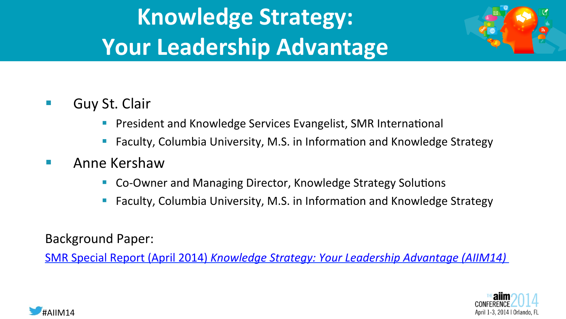# **Knowledge Strategy: Your Leadership Advantage**



- Guy St. Clair
	- President and Knowledge Services Evangelist, SMR International
	- Faculty, Columbia University, M.S. in Information and Knowledge Strategy
- Anne Kershaw
	- Co-Owner and Managing Director, Knowledge Strategy Solutions
	- Faculty, Columbia University, M.S. in Information and Knowledge Strategy

Background Paper:

SMR Special Report (April 2014) *Knowledge Strategy: Your Leadership Advantage (AIIM14)* 



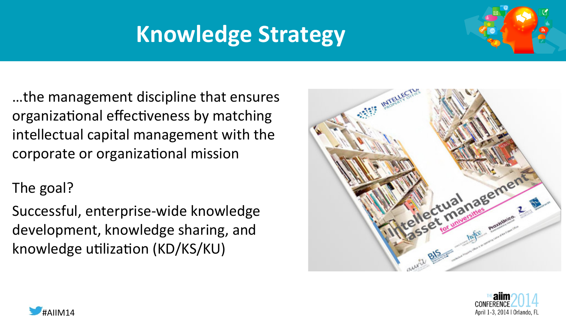# **Knowledge Strategy**



...the management discipline that ensures organizational effectiveness by matching intellectual capital management with the corporate or organizational mission

#### The goal?

Successful, enterprise-wide knowledge development, knowledge sharing, and knowledge utilization (KD/KS/KU)





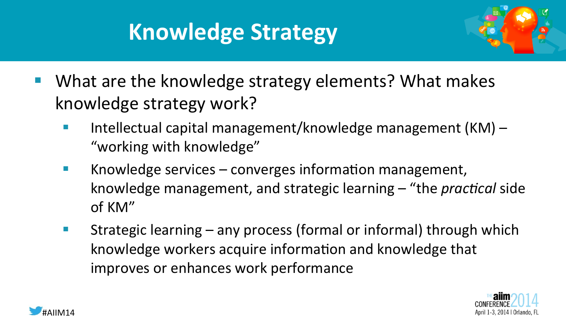## **Knowledge Strategy**



- What are the knowledge strategy elements? What makes knowledge strategy work?
	- **•** Intellectual capital management/knowledge management  $(KM)$  "working with knowledge"
	- **EXECO** Knowledge services converges information management, knowledge management, and strategic learning – "the *practical* side of KM"
	- Strategic learning  $-$  any process (formal or informal) through which knowledge workers acquire information and knowledge that improves or enhances work performance



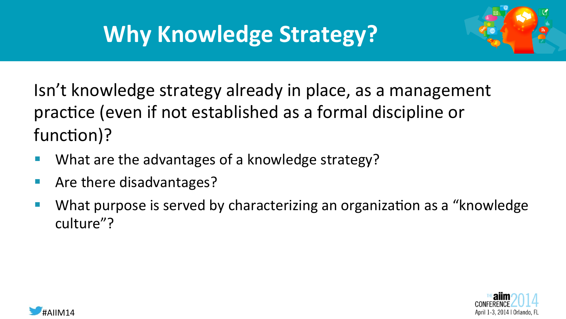# **Why Knowledge Strategy?**



Isn't knowledge strategy already in place, as a management practice (even if not established as a formal discipline or function)?

- What are the advantages of a knowledge strategy?
- $\blacksquare$  Are there disadvantages?
- What purpose is served by characterizing an organization as a "knowledge" culture"?



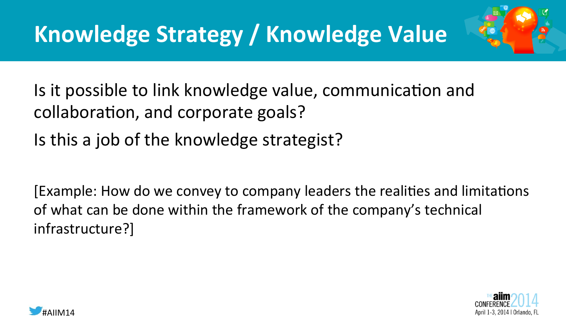

Is it possible to link knowledge value, communication and collaboration, and corporate goals? Is this a job of the knowledge strategist?

[Example: How do we convey to company leaders the realities and limitations of what can be done within the framework of the company's technical infrastructure?]